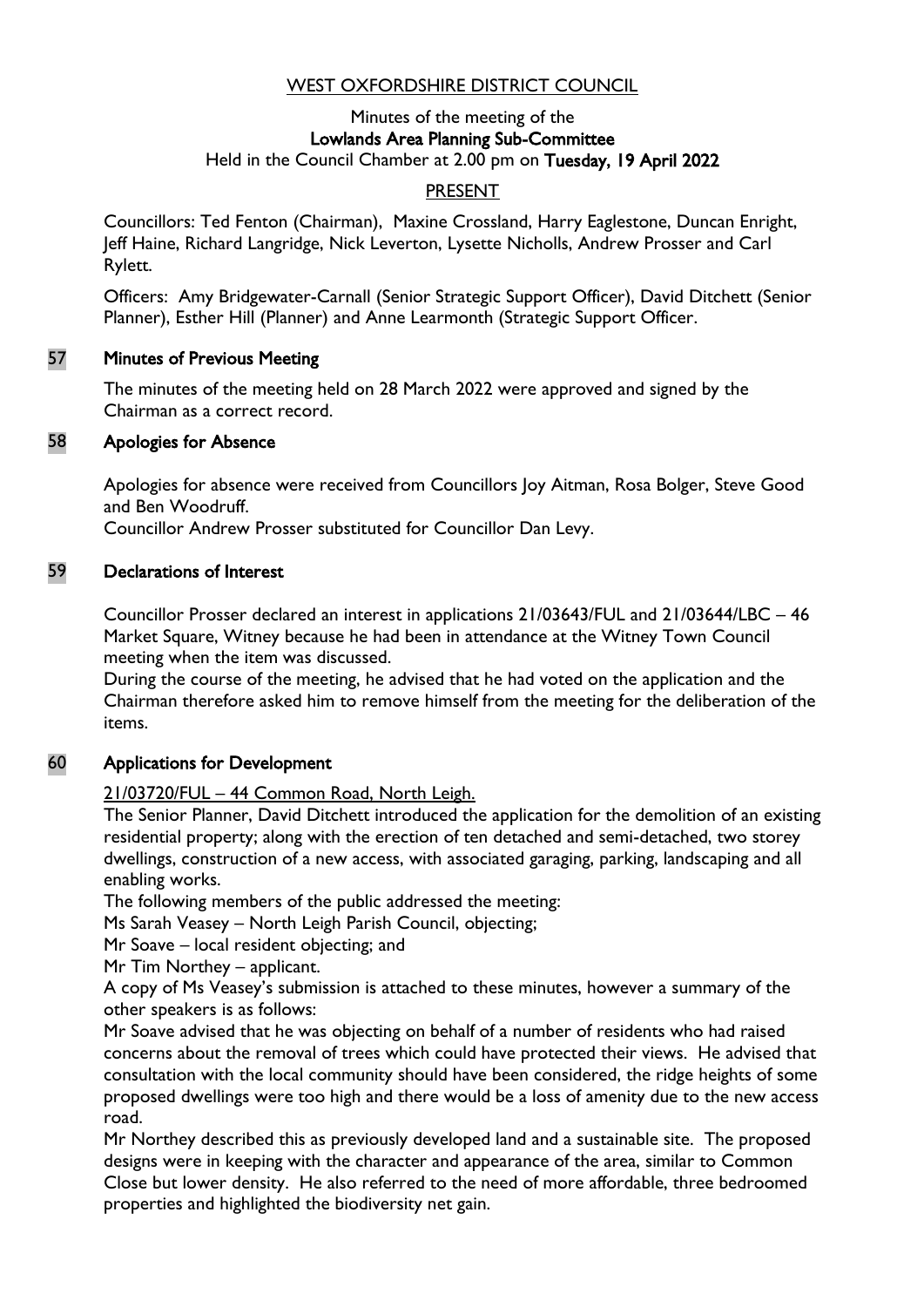## WEST OXFORDSHIRE DISTRICT COUNCIL

#### Minutes of the meeting of the Lowlands Area Planning Sub-Committee Held in the Council Chamber at 2.00 pm on Tuesday, 19 April 2022

### PRESENT

Councillors: Ted Fenton (Chairman), Maxine Crossland, Harry Eaglestone, Duncan Enright, Jeff Haine, Richard Langridge, Nick Leverton, Lysette Nicholls, Andrew Prosser and Carl Rylett.

Officers: Amy Bridgewater-Carnall (Senior Strategic Support Officer), David Ditchett (Senior Planner), Esther Hill (Planner) and Anne Learmonth (Strategic Support Officer.

#### 57 Minutes of Previous Meeting

The minutes of the meeting held on 28 March 2022 were approved and signed by the Chairman as a correct record.

#### 58 Apologies for Absence

Apologies for absence were received from Councillors Joy Aitman, Rosa Bolger, Steve Good and Ben Woodruff.

Councillor Andrew Prosser substituted for Councillor Dan Levy.

#### 59 Declarations of Interest

Councillor Prosser declared an interest in applications 21/03643/FUL and 21/03644/LBC – 46 Market Square, Witney because he had been in attendance at the Witney Town Council meeting when the item was discussed.

During the course of the meeting, he advised that he had voted on the application and the Chairman therefore asked him to remove himself from the meeting for the deliberation of the items.

### 60 Applications for Development

### 21/03720/FUL – 44 Common Road, North Leigh.

The Senior Planner, David Ditchett introduced the application for the demolition of an existing residential property; along with the erection of ten detached and semi-detached, two storey dwellings, construction of a new access, with associated garaging, parking, landscaping and all enabling works.

The following members of the public addressed the meeting:

Ms Sarah Veasey – North Leigh Parish Council, objecting;

Mr Soave – local resident objecting; and

Mr Tim Northey – applicant.

A copy of Ms Veasey's submission is attached to these minutes, however a summary of the other speakers is as follows:

Mr Soave advised that he was objecting on behalf of a number of residents who had raised concerns about the removal of trees which could have protected their views. He advised that consultation with the local community should have been considered, the ridge heights of some proposed dwellings were too high and there would be a loss of amenity due to the new access road.

Mr Northey described this as previously developed land and a sustainable site. The proposed designs were in keeping with the character and appearance of the area, similar to Common Close but lower density. He also referred to the need of more affordable, three bedroomed properties and highlighted the biodiversity net gain.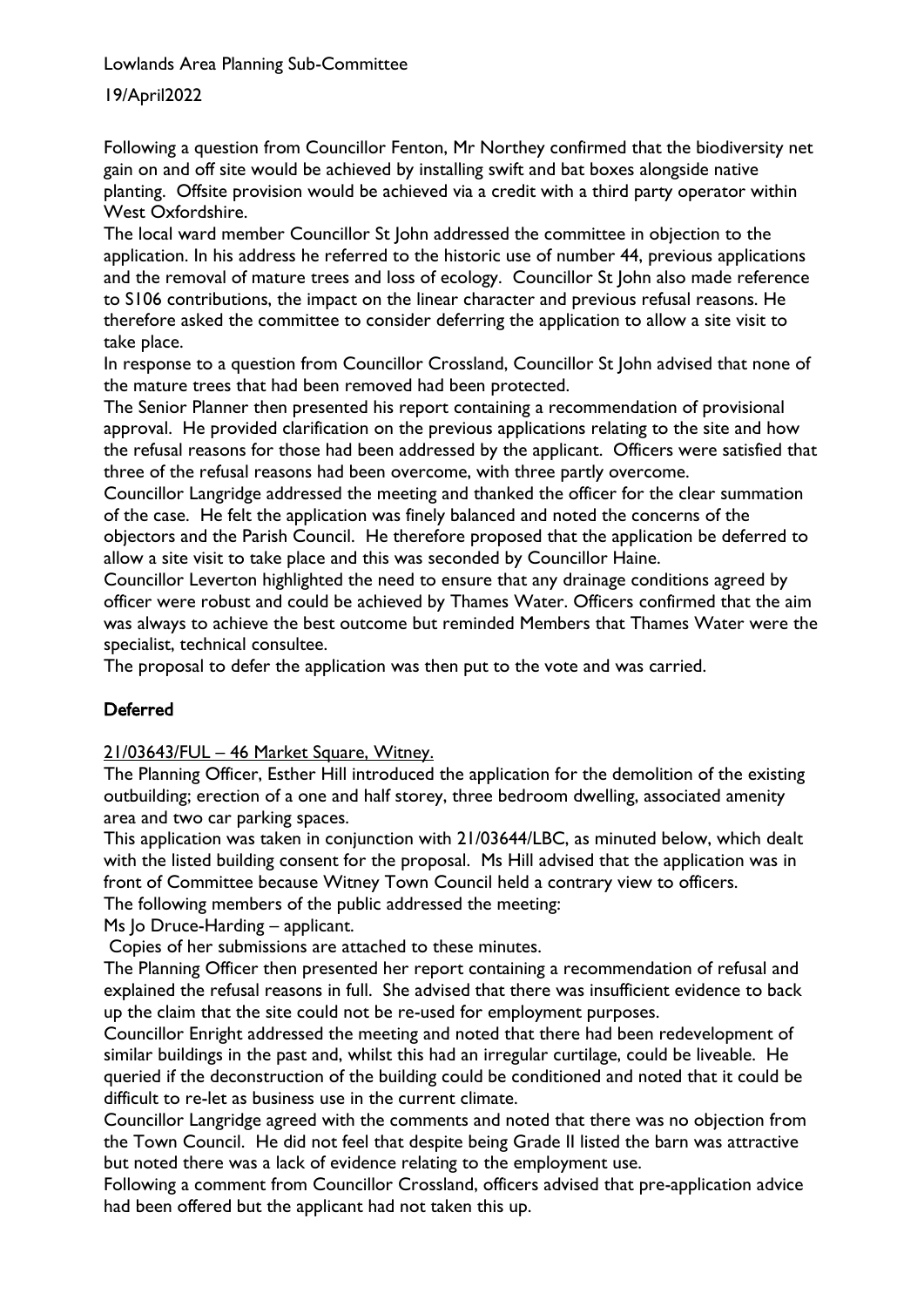Lowlands Area Planning Sub-Committee

19/April2022

Following a question from Councillor Fenton, Mr Northey confirmed that the biodiversity net gain on and off site would be achieved by installing swift and bat boxes alongside native planting. Offsite provision would be achieved via a credit with a third party operator within West Oxfordshire.

The local ward member Councillor St John addressed the committee in objection to the application. In his address he referred to the historic use of number 44, previous applications and the removal of mature trees and loss of ecology. Councillor St John also made reference to S106 contributions, the impact on the linear character and previous refusal reasons. He therefore asked the committee to consider deferring the application to allow a site visit to take place.

In response to a question from Councillor Crossland, Councillor St John advised that none of the mature trees that had been removed had been protected.

The Senior Planner then presented his report containing a recommendation of provisional approval. He provided clarification on the previous applications relating to the site and how the refusal reasons for those had been addressed by the applicant. Officers were satisfied that three of the refusal reasons had been overcome, with three partly overcome.

Councillor Langridge addressed the meeting and thanked the officer for the clear summation of the case. He felt the application was finely balanced and noted the concerns of the objectors and the Parish Council. He therefore proposed that the application be deferred to allow a site visit to take place and this was seconded by Councillor Haine.

Councillor Leverton highlighted the need to ensure that any drainage conditions agreed by officer were robust and could be achieved by Thames Water. Officers confirmed that the aim was always to achieve the best outcome but reminded Members that Thames Water were the specialist, technical consultee.

The proposal to defer the application was then put to the vote and was carried.

# Deferred

21/03643/FUL – 46 Market Square, Witney.

The Planning Officer, Esther Hill introduced the application for the demolition of the existing outbuilding; erection of a one and half storey, three bedroom dwelling, associated amenity area and two car parking spaces.

This application was taken in conjunction with 21/03644/LBC, as minuted below, which dealt with the listed building consent for the proposal. Ms Hill advised that the application was in front of Committee because Witney Town Council held a contrary view to officers.

The following members of the public addressed the meeting:

Ms Jo Druce-Harding – applicant.

Copies of her submissions are attached to these minutes.

The Planning Officer then presented her report containing a recommendation of refusal and explained the refusal reasons in full. She advised that there was insufficient evidence to back up the claim that the site could not be re-used for employment purposes.

Councillor Enright addressed the meeting and noted that there had been redevelopment of similar buildings in the past and, whilst this had an irregular curtilage, could be liveable. He queried if the deconstruction of the building could be conditioned and noted that it could be difficult to re-let as business use in the current climate.

Councillor Langridge agreed with the comments and noted that there was no objection from the Town Council. He did not feel that despite being Grade II listed the barn was attractive but noted there was a lack of evidence relating to the employment use.

Following a comment from Councillor Crossland, officers advised that pre-application advice had been offered but the applicant had not taken this up.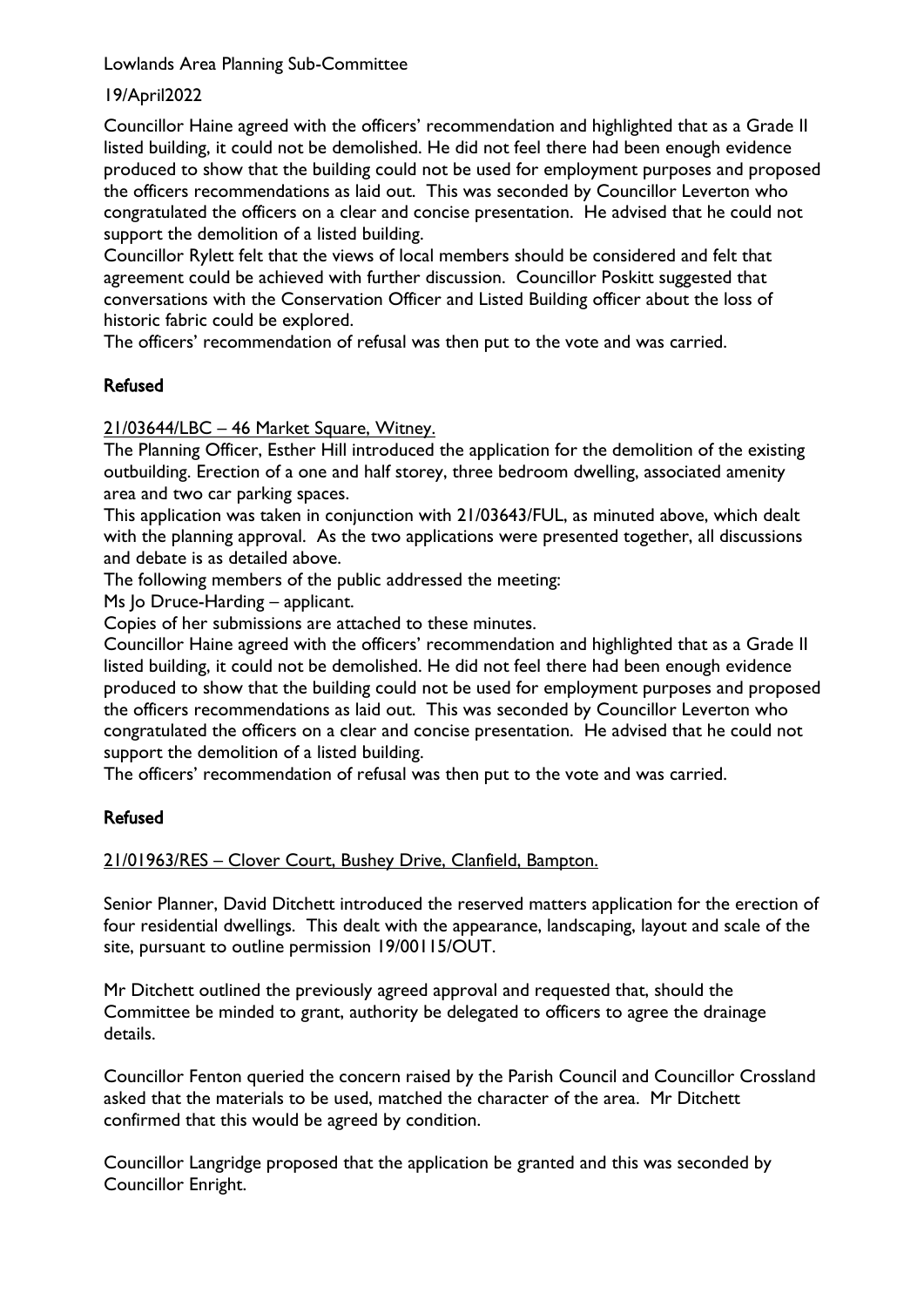Lowlands Area Planning Sub-Committee

### 19/April2022

Councillor Haine agreed with the officers' recommendation and highlighted that as a Grade II listed building, it could not be demolished. He did not feel there had been enough evidence produced to show that the building could not be used for employment purposes and proposed the officers recommendations as laid out. This was seconded by Councillor Leverton who congratulated the officers on a clear and concise presentation. He advised that he could not support the demolition of a listed building.

Councillor Rylett felt that the views of local members should be considered and felt that agreement could be achieved with further discussion. Councillor Poskitt suggested that conversations with the Conservation Officer and Listed Building officer about the loss of historic fabric could be explored.

The officers' recommendation of refusal was then put to the vote and was carried.

## Refused

21/03644/LBC – 46 Market Square, Witney.

The Planning Officer, Esther Hill introduced the application for the demolition of the existing outbuilding. Erection of a one and half storey, three bedroom dwelling, associated amenity area and two car parking spaces.

This application was taken in conjunction with 21/03643/FUL, as minuted above, which dealt with the planning approval. As the two applications were presented together, all discussions and debate is as detailed above.

The following members of the public addressed the meeting:

Ms Jo Druce-Harding – applicant.

Copies of her submissions are attached to these minutes.

Councillor Haine agreed with the officers' recommendation and highlighted that as a Grade II listed building, it could not be demolished. He did not feel there had been enough evidence produced to show that the building could not be used for employment purposes and proposed the officers recommendations as laid out. This was seconded by Councillor Leverton who congratulated the officers on a clear and concise presentation. He advised that he could not support the demolition of a listed building.

The officers' recommendation of refusal was then put to the vote and was carried.

### Refused

21/01963/RES – Clover Court, Bushey Drive, Clanfield, Bampton.

Senior Planner, David Ditchett introduced the reserved matters application for the erection of four residential dwellings. This dealt with the appearance, landscaping, layout and scale of the site, pursuant to outline permission 19/00115/OUT.

Mr Ditchett outlined the previously agreed approval and requested that, should the Committee be minded to grant, authority be delegated to officers to agree the drainage details.

Councillor Fenton queried the concern raised by the Parish Council and Councillor Crossland asked that the materials to be used, matched the character of the area. Mr Ditchett confirmed that this would be agreed by condition.

Councillor Langridge proposed that the application be granted and this was seconded by Councillor Enright.